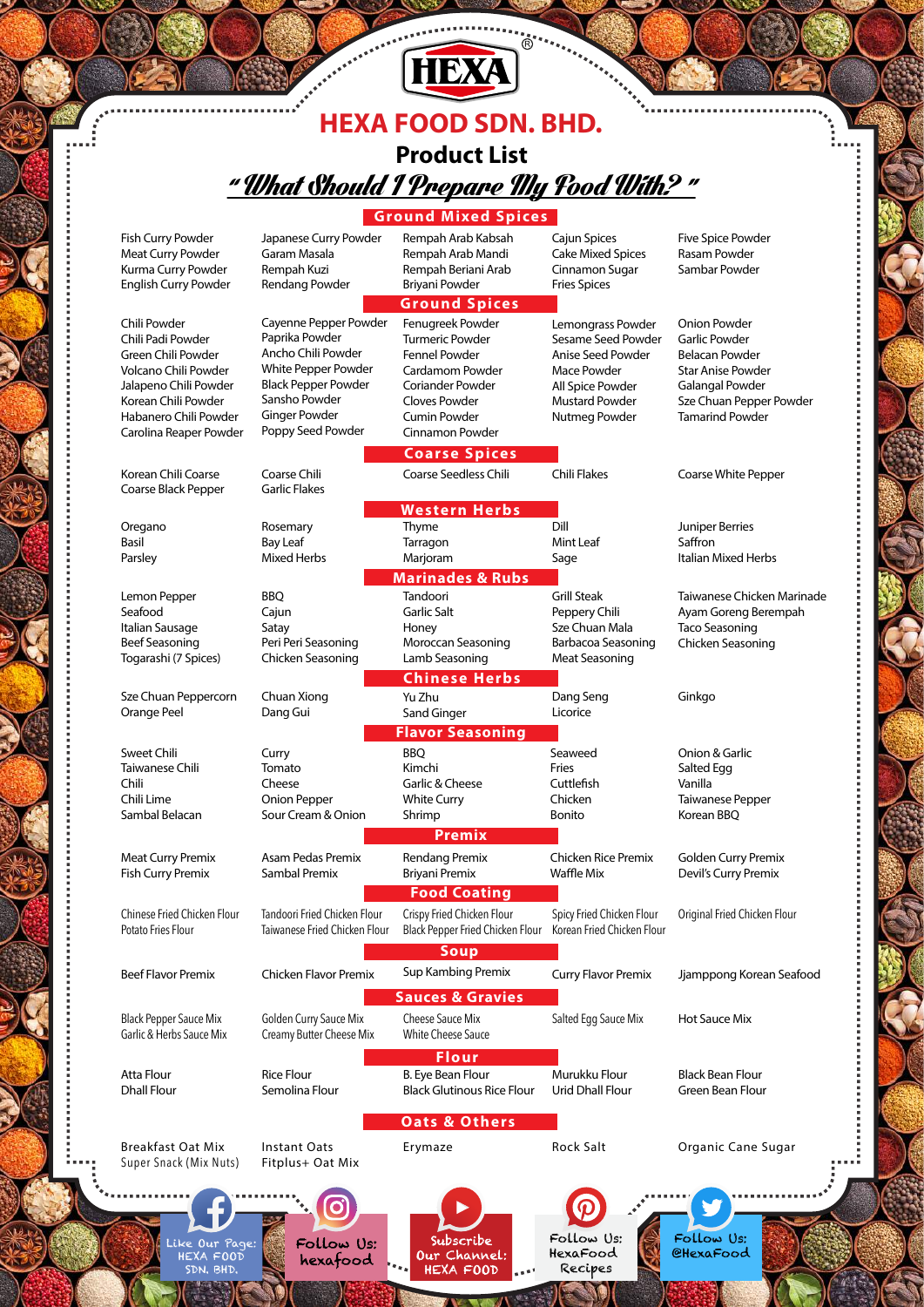## **HEXA FOOD SDN. BHD.** " What Should I Prepare My Food With? " **Product List**

[HEXA]

 $\mathbb{R}$  .

|                                                              |                                                      | <b>Ground Mixed Spices</b>                                     |                                                            |                                                           |
|--------------------------------------------------------------|------------------------------------------------------|----------------------------------------------------------------|------------------------------------------------------------|-----------------------------------------------------------|
| Fish Curry Powder<br>Meat Curry Powder<br>Kurma Curry Powder | Japanese Curry Powder<br>Garam Masala<br>Rempah Kuzi | Rempah Arab Kabsah<br>Rempah Arab Mandi<br>Rempah Beriani Arab | Cajun Spices<br><b>Cake Mixed Spices</b><br>Cinnamon Sugar | <b>Five Spice Powder</b><br>Rasam Powder<br>Sambar Powder |
| English Curry Powder                                         | Rendang Powder                                       | Briyani Powder                                                 | <b>Fries Spices</b>                                        |                                                           |
|                                                              |                                                      | <b>Ground Spices</b>                                           |                                                            |                                                           |
| Chili Powder                                                 | Cayenne Pepper Powder                                | Fenugreek Powder                                               | Lemongrass Powder                                          | <b>Onion Powder</b>                                       |
| Chili Padi Powder                                            | Paprika Powder                                       | <b>Turmeric Powder</b>                                         | Sesame Seed Powder                                         | <b>Garlic Powder</b>                                      |
| Green Chili Powder                                           | Ancho Chili Powder                                   | <b>Fennel Powder</b>                                           | Anise Seed Powder                                          | <b>Belacan Powder</b>                                     |
| Volcano Chili Powder<br>Jalapeno Chili Powder                | White Pepper Powder<br><b>Black Pepper Powder</b>    | Cardamom Powder<br>Coriander Powder                            | Mace Powder<br>All Spice Powder                            | <b>Star Anise Powder</b><br><b>Galangal Powder</b>        |
| Korean Chili Powder                                          | Sansho Powder                                        | Cloves Powder                                                  | <b>Mustard Powder</b>                                      | Sze Chuan Pepper Powder                                   |
| Habanero Chili Powder                                        | <b>Ginger Powder</b>                                 | <b>Cumin Powder</b>                                            | Nutmeg Powder                                              | <b>Tamarind Powder</b>                                    |
| Carolina Reaper Powder                                       | Poppy Seed Powder                                    | Cinnamon Powder                                                |                                                            |                                                           |
|                                                              |                                                      | <b>Coarse Spices</b>                                           |                                                            |                                                           |
| Korean Chili Coarse                                          | Coarse Chili                                         | <b>Coarse Seedless Chili</b>                                   | <b>Chili Flakes</b>                                        | Coarse White Pepper                                       |
| Coarse Black Pepper                                          | <b>Garlic Flakes</b>                                 |                                                                |                                                            |                                                           |
|                                                              |                                                      | <b>Western Herbs</b>                                           |                                                            |                                                           |
| Oregano                                                      | Rosemary                                             | Thyme                                                          | Dill                                                       | Juniper Berries                                           |
| Basil                                                        | <b>Bay Leaf</b>                                      | Tarragon                                                       | Mint Leaf                                                  | Saffron                                                   |
| Parsley                                                      | <b>Mixed Herbs</b>                                   | Marjoram                                                       | Sage                                                       | Italian Mixed Herbs                                       |
|                                                              |                                                      | <b>Marinades &amp; Rubs</b>                                    |                                                            |                                                           |
| Lemon Pepper<br>Seafood                                      | BBQ<br>Cajun                                         | Tandoori<br>Garlic Salt                                        | <b>Grill Steak</b><br>Peppery Chili                        | Taiwanese Chicken Marinade<br>Ayam Goreng Berempah        |
| Italian Sausage                                              | Satay                                                | Honey                                                          | Sze Chuan Mala                                             | <b>Taco Seasoning</b>                                     |
| <b>Beef Seasoning</b>                                        | Peri Peri Seasoning                                  | Moroccan Seasoning                                             | Barbacoa Seasoning                                         | Chicken Seasoning                                         |
| Togarashi (7 Spices)                                         | Chicken Seasoning                                    | Lamb Seasoning                                                 | <b>Meat Seasoning</b>                                      |                                                           |
|                                                              |                                                      | <b>Chinese Herbs</b>                                           |                                                            |                                                           |
| Sze Chuan Peppercorn                                         | Chuan Xiong                                          | Yu Zhu                                                         | Dang Seng                                                  | Ginkgo                                                    |
| Orange Peel                                                  | Dang Gui                                             | Sand Ginger                                                    | Licorice                                                   |                                                           |
|                                                              |                                                      | <b>Flavor Seasoning</b>                                        |                                                            |                                                           |
| Sweet Chili                                                  | Curry                                                | <b>BBQ</b>                                                     | Seaweed                                                    | Onion & Garlic                                            |
| Taiwanese Chili                                              | Tomato                                               | Kimchi                                                         | Fries                                                      | Salted Egg                                                |
| Chili<br>Chili Lime                                          | Cheese<br>Onion Pepper                               | Garlic & Cheese<br><b>White Curry</b>                          | Cuttlefish<br>Chicken                                      | Vanilla<br>Taiwanese Pepper                               |
| Sambal Belacan                                               | Sour Cream & Onion                                   | Shrimp                                                         | Bonito                                                     | Korean BBQ                                                |
|                                                              |                                                      | Premix                                                         |                                                            |                                                           |
| <b>Meat Curry Premix</b>                                     | Asam Pedas Premix                                    | Rendang Premix                                                 | <b>Chicken Rice Premix</b>                                 | <b>Golden Curry Premix</b>                                |
| <b>Fish Curry Premix</b>                                     | Sambal Premix                                        | Briyani Premix                                                 | Waffle Mix                                                 | Devil's Curry Premix                                      |
|                                                              |                                                      | <b>Food Coating</b>                                            |                                                            |                                                           |
| Chinese Fried Chicken Flour                                  | Tandoori Fried Chicken Flour                         | Crispy Fried Chicken Flour                                     | Spicy Fried Chicken Flour                                  | Original Fried Chicken Flour                              |
| Potato Fries Flour                                           | Taiwanese Fried Chicken Flour                        | Black Pepper Fried Chicken Flour                               | Korean Fried Chicken Flour                                 |                                                           |
|                                                              |                                                      | <b>Soup</b>                                                    |                                                            |                                                           |
| <b>Beef Flavor Premix</b>                                    | <b>Chicken Flavor Premix</b>                         | Sup Kambing Premix                                             | <b>Curry Flavor Premix</b>                                 | Jjamppong Korean Seafood                                  |
|                                                              |                                                      |                                                                |                                                            |                                                           |
|                                                              |                                                      | <b>Sauces &amp; Gravies</b>                                    |                                                            |                                                           |
| <b>Black Pepper Sauce Mix</b>                                | Golden Curry Sauce Mix                               | Cheese Sauce Mix                                               | Salted Egg Sauce Mix                                       | Hot Sauce Mix                                             |
| Garlic & Herbs Sauce Mix                                     | Creamy Butter Cheese Mix                             | White Cheese Sauce                                             |                                                            |                                                           |
|                                                              |                                                      | <b>Flour</b>                                                   |                                                            |                                                           |
| Atta Flour                                                   | <b>Rice Flour</b><br>Semolina Flour                  | B. Eye Bean Flour                                              | Murukku Flour                                              | <b>Black Bean Flour</b>                                   |
| <b>Dhall Flour</b>                                           |                                                      | <b>Black Glutinous Rice Flour</b>                              | <b>Urid Dhall Flour</b>                                    | <b>Green Bean Flour</b>                                   |
|                                                              |                                                      | <b>Oats &amp; Others</b>                                       |                                                            |                                                           |
| <b>Breakfast Oat Mix</b>                                     | <b>Instant Oats</b>                                  | Erymaze                                                        | <b>Rock Salt</b>                                           | Organic Cane Sugar                                        |
| Super Snack (Mix Nuts)                                       | Fitplus+ Oat Mix                                     |                                                                |                                                            |                                                           |
|                                                              |                                                      |                                                                |                                                            |                                                           |
|                                                              |                                                      |                                                                |                                                            |                                                           |
|                                                              |                                                      |                                                                |                                                            |                                                           |
| Like Our Page:                                               | Follow Us:                                           | Subscribe                                                      | Follow Us:                                                 | Follow Us:                                                |
| HEXA FOOD                                                    | hexafood                                             | Our Channel:                                                   | HexaFood                                                   | <b>CHexaFood</b>                                          |
| SDN. BHD.                                                    |                                                      | HEXA FOOD                                                      | Recipes                                                    |                                                           |

M,